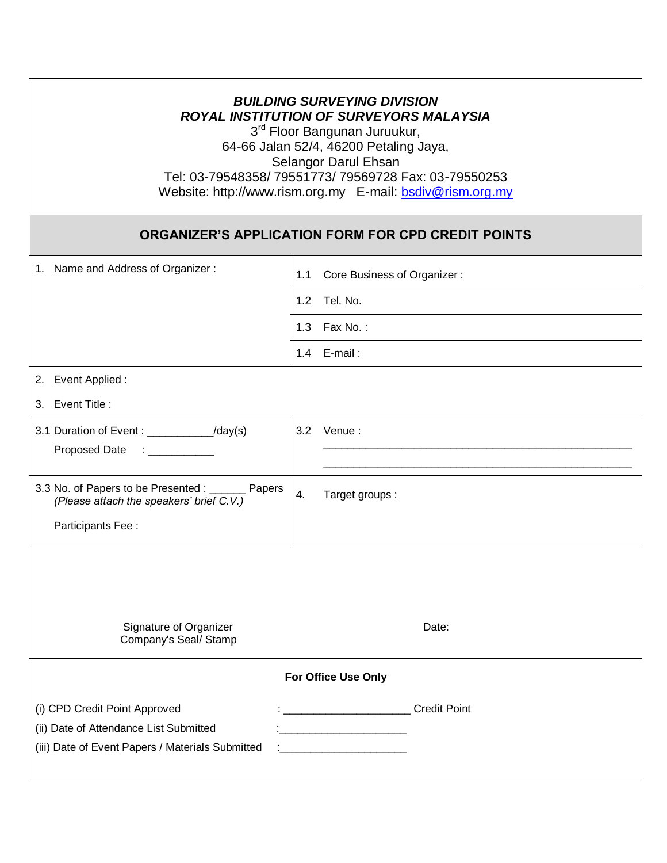| <b>BUILDING SURVEYING DIVISION</b><br><b>ROYAL INSTITUTION OF SURVEYORS MALAYSIA</b><br>3 <sup>rd</sup> Floor Bangunan Juruukur,<br>64-66 Jalan 52/4, 46200 Petaling Jaya,<br>Selangor Darul Ehsan<br>Tel: 03-79548358/79551773/79569728 Fax: 03-79550253<br>Website: http://www.rism.org.my E-mail: bsdiv@rism.org.my |                                    |
|------------------------------------------------------------------------------------------------------------------------------------------------------------------------------------------------------------------------------------------------------------------------------------------------------------------------|------------------------------------|
| <b>ORGANIZER'S APPLICATION FORM FOR CPD CREDIT POINTS</b>                                                                                                                                                                                                                                                              |                                    |
| 1. Name and Address of Organizer:                                                                                                                                                                                                                                                                                      | 1.1<br>Core Business of Organizer: |
|                                                                                                                                                                                                                                                                                                                        | Tel. No.<br>1.2                    |
|                                                                                                                                                                                                                                                                                                                        | 1.3 Fax No.:                       |
|                                                                                                                                                                                                                                                                                                                        | 1.4 E-mail:                        |
| 2. Event Applied :<br>3. Event Title :                                                                                                                                                                                                                                                                                 |                                    |
| 3.1 Duration of Event: ____________/day(s)<br>Proposed Date : _________                                                                                                                                                                                                                                                | 3.2 Venue:                         |
| 3.3 No. of Papers to be Presented : ______ Papers<br>(Please attach the speakers' brief C.V.)<br>Participants Fee:                                                                                                                                                                                                     | 4.<br>Target groups:               |
| Signature of Organizer<br>Date:<br>Company's Seal/ Stamp                                                                                                                                                                                                                                                               |                                    |
| For Office Use Only                                                                                                                                                                                                                                                                                                    |                                    |
| (i) CPD Credit Point Approved<br>(ii) Date of Attendance List Submitted<br>(iii) Date of Event Papers / Materials Submitted                                                                                                                                                                                            | <b>Credit Point</b>                |

Г

٦